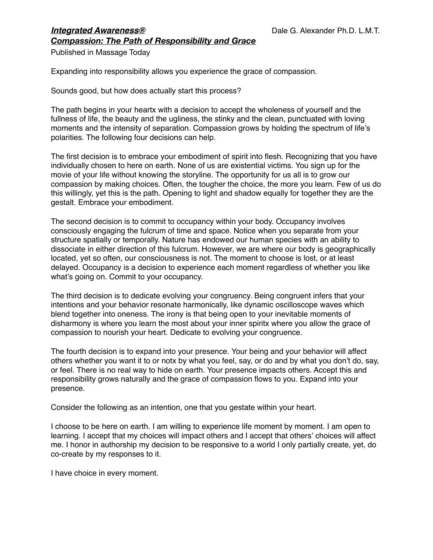## *Integrated Awareness®* 
Dale G. Alexander Ph.D. L.M.T. *Compassion: The Path of Responsibility and Grace*

Published in Massage Today

Expanding into responsibility allows you experience the grace of compassion.

Sounds good, but how does actually start this process?

The path begins in your heartx with a decision to accept the wholeness of yourself and the fullness of life, the beauty and the ugliness, the stinky and the clean, punctuated with loving moments and the intensity of separation. Compassion grows by holding the spectrum of life's polarities. The following four decisions can help.

The first decision is to embrace your embodiment of spirit into flesh. Recognizing that you have individually chosen to here on earth. None of us are existential victims. You sign up for the movie of your life without knowing the storyline. The opportunity for us all is to grow our compassion by making choices. Often, the tougher the choice, the more you learn. Few of us do this willingly, yet this is the path. Opening to light and shadow equally for together they are the gestalt. Embrace your embodiment.

The second decision is to commit to occupancy within your body. Occupancy involves consciously engaging the fulcrum of time and space. Notice when you separate from your structure spatially or temporally. Nature has endowed our human species with an ability to dissociate in either direction of this fulcrum. However, we are where our body is geographically located, yet so often, our consciousness is not. The moment to choose is lost, or at least delayed. Occupancy is a decision to experience each moment regardless of whether you like what's going on. Commit to your occupancy.

The third decision is to dedicate evolving your congruency. Being congruent infers that your intentions and your behavior resonate harmonically, like dynamic oscilloscope waves which blend together into oneness. The irony is that being open to your inevitable moments of disharmony is where you learn the most about your inner spiritx where you allow the grace of compassion to nourish your heart. Dedicate to evolving your congruence.

The fourth decision is to expand into your presence. Your being and your behavior will affect others whether you want it to or notx by what you feel, say, or do and by what you don't do, say, or feel. There is no real way to hide on earth. Your presence impacts others. Accept this and responsibility grows naturally and the grace of compassion flows to you. Expand into your presence.

Consider the following as an intention, one that you gestate within your heart.

I choose to be here on earth. I am willing to experience life moment by moment. I am open to learning. I accept that my choices will impact others and I accept that others' choices will affect me. I honor in authorship my decision to be responsive to a world I only partially create, yet, do co-create by my responses to it.

I have choice in every moment.